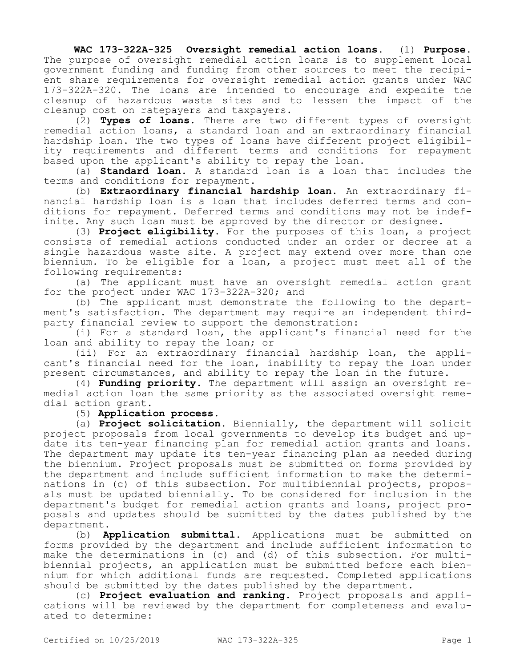**WAC 173-322A-325 Oversight remedial action loans.** (1) **Purpose.**  The purpose of oversight remedial action loans is to supplement local government funding and funding from other sources to meet the recipient share requirements for oversight remedial action grants under WAC 173-322A-320. The loans are intended to encourage and expedite the cleanup of hazardous waste sites and to lessen the impact of the cleanup cost on ratepayers and taxpayers.

(2) **Types of loans.** There are two different types of oversight remedial action loans, a standard loan and an extraordinary financial hardship loan. The two types of loans have different project eligibility requirements and different terms and conditions for repayment based upon the applicant's ability to repay the loan.

(a) **Standard loan.** A standard loan is a loan that includes the terms and conditions for repayment.

(b) **Extraordinary financial hardship loan.** An extraordinary financial hardship loan is a loan that includes deferred terms and conditions for repayment. Deferred terms and conditions may not be indefinite. Any such loan must be approved by the director or designee.

(3) **Project eligibility.** For the purposes of this loan, a project consists of remedial actions conducted under an order or decree at a single hazardous waste site. A project may extend over more than one biennium. To be eligible for a loan, a project must meet all of the following requirements:

(a) The applicant must have an oversight remedial action grant for the project under WAC 173-322A-320; and

(b) The applicant must demonstrate the following to the department's satisfaction. The department may require an independent thirdparty financial review to support the demonstration:

(i) For a standard loan, the applicant's financial need for the loan and ability to repay the loan; or

(ii) For an extraordinary financial hardship loan, the applicant's financial need for the loan, inability to repay the loan under present circumstances, and ability to repay the loan in the future.

(4) **Funding priority.** The department will assign an oversight remedial action loan the same priority as the associated oversight remedial action grant.

## (5) **Application process.**

(a) **Project solicitation.** Biennially, the department will solicit project proposals from local governments to develop its budget and update its ten-year financing plan for remedial action grants and loans. The department may update its ten-year financing plan as needed during the biennium. Project proposals must be submitted on forms provided by the department and include sufficient information to make the determinations in (c) of this subsection. For multibiennial projects, proposals must be updated biennially. To be considered for inclusion in the department's budget for remedial action grants and loans, project proposals and updates should be submitted by the dates published by the department.

(b) **Application submittal.** Applications must be submitted on forms provided by the department and include sufficient information to make the determinations in (c) and (d) of this subsection. For multibiennial projects, an application must be submitted before each biennium for which additional funds are requested. Completed applications should be submitted by the dates published by the department.

(c) **Project evaluation and ranking.** Project proposals and applications will be reviewed by the department for completeness and evaluated to determine: